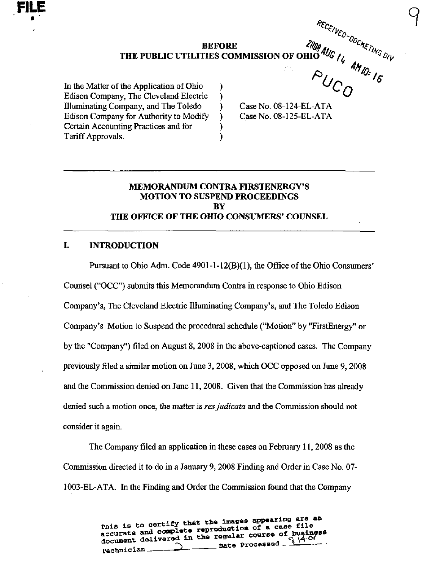**BEFORE**  $\triangleleft$ **n<sub>n<sub>n</sub>**,</sub>  $\triangleleft$ <sup>-c</sup> $\triangle$ <sub>*r*</sub> THE PUBLIC UTILITIES COMMISSION OF OHIO  $\frac{1}{6}$  / $\frac{1}{6}$   $\frac{1}{2}$ 

> $\lambda$  $\mathcal{F}$  $\mathcal{L}$  $\lambda$

In the Matter of the Application of Ohio Edison Company, The Cleveland Electric Illimiinating Company, and The Toledo Edison Company for Authority to Modify Certain Accounting Practices and for Tariff Approvals.

Case No. 08-124-EL-ATA Case No. 08-125-EL-ATA  $\overline{O}$ 

9

# MEMORANDUM CONTRA FIRSTENERGY'S MOTION TO SUSPEND PROCEEDINGS **BY** THE OFFICE OFTHE OHIO CONSUMERS' COUNSEL

### I. INTRODUCTION

Pursuant to Ohio Adm. Code  $4901-1-12(B)(1)$ , the Office of the Ohio Consumers' Counsel ("OCC") submits this Memorandum Contra in response to Ohio Edison Company's, The Cleveland Electric Illuminating Company's, and The Toledo Edison Company's Motion to Suspend the procedural schedule ("Motion" by "FirstEnergy" or by the "Company") filed on August 8, 2008 in the above-captioned cases. The Company previously filed a similar motion on June 3,2008, which OCC opposed on June 9,2008 and the Commission denied on June 11,2008. Given that the Commission has already denied such a motion once, the matter is res judicata and the Commission should not consider it again.

The Company filed an application in these cases on February 11,2008 as the Commission directed it to do in a January 9, 2008 Finding and Order in Case No. 07- 1003-EL-ATA. In the Finding and Order the Commission found that the Company

> . This is to certify that the images appearing are an accurate and complete reproduction of a case file accument delivered in the regular course of business<br>document delivered in the regular course of  $\frac{C_{i} \cdot (A \cdot C)}{A}$ . Pechnician ...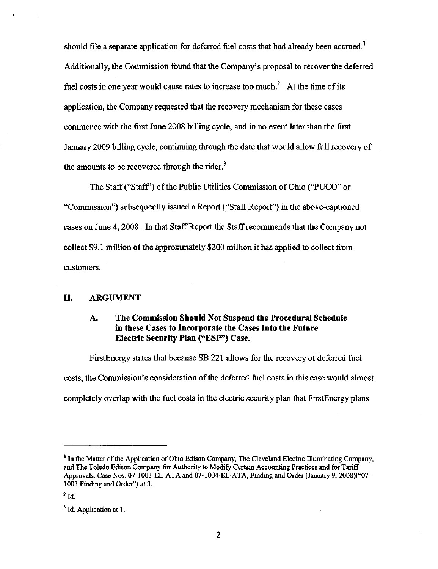should file a separate application for deferred fuel costs that had already been accrued.<sup>1</sup> Additionally, the Commission found that the Company's proposal to recover the deferred fuel costs in one year would cause rates to increase too much.<sup>2</sup> At the time of its application, the Company requested that the recovery mechanism for these cases commence with the first June 2008 billing cycle, and in no event later than the first January 2009 billing cycle, continuing through the date that would allow full recovery of the amounts to be recovered through the rider. $3$ 

The Staff ("Staff") of the Public Utilities Commission of Ohio ("PUCO" or "Commission") subsequently issued a Report ("Staff Report") in the above-captioned cases on June 4,2008. In that Staff Report the Staff recommends that the Company not collect  $$9.1$  million of the approximately  $$200$  million it has applied to collect from customers.

## IL ARGUMENT

## A. The Commission Should Not Suspend the Procedural Schedule in these Cases to Incorporate the Cases Into the Future Electric Security Plan ("ESP") Case.

FirstEnergy states that because SB 221 allows for the recovery of deferred fuel costs, the Commission's consideration of the deferred fuel costs in this case would almost completely overlap with the fuel costs in the electric security plan that FirstEnergy plans

<sup>&</sup>lt;sup>1</sup> In the Matter of the Application of Ohio Edison Company, The Cleveland Electric Illuminating Company, and The Toledo Edison Conpany for Authority to Modify Certain Accounting Practices and for Tariff Approvals. Case Nos. 07-1003-EL-ATA and 07-1004-EL-ATA, Finding and Order (January 9, 2008)("07- 1003 Finding and Order") at 3.

 $2$  Id.

 $<sup>3</sup>$  Id. Application at 1.</sup>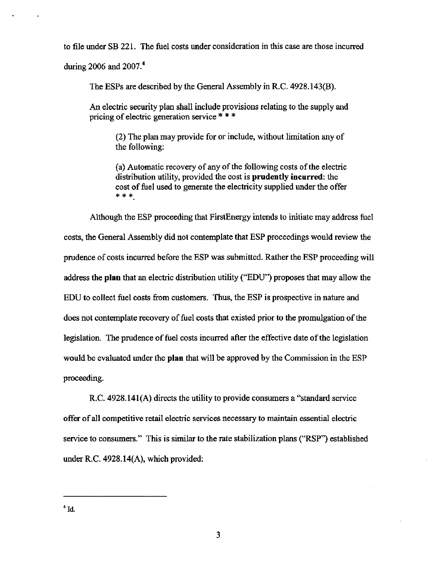to file under SB 221. The fuel costs under consideration in this case are those incurred during 2006 and  $2007<sup>4</sup>$ 

The ESPs are described by the General Assembly in R.C. 4928.143(B).

An electric security plan shall include provisions relating to the supply and pricing of electric generation service \* \* \*

(2) The plan may provide for or include, without limitation any of the following:

(a) Automatic recovery of any of the following costs of the electric distribution utility, provided the cost is prudently incurred: the cost of fuel used to generate the electricity supplied under the offer \* \* \*

Although the ESP proceeding that FirstEnergy intends to initiate may address fuel costs, the General Assembly did not contemplate that ESP proceedings would review the prudence of costs incurred before the ESP was submitted. Rather the ESP proceeding will address the plan that an electric distribution utility ("EDU") proposes that may allow the EDU to collect fuel costs from customers. Thus, the ESP is prospective in nature and does not contemplate recovery of fuel costs that existed prior to the promulgation of the legislation. The prudence of fuel costs incurred after the effective date of the legislation would be evaluated under the plan that will be approved by the Commission in the ESP proceeding.

R.C. 4928.141(A) directs the utility to provide consumers a "standard service offer of all competitive retail electric services necessary to maintain essential electric service to consumers." This is similar to the rate stabilization plans ("RSP") established under R.C. 4928.14(A), which provided: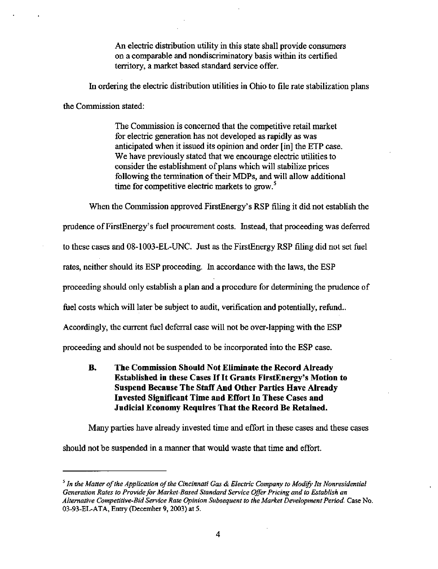An electric distribution utility in this state shall provide consumers on a comparable and nondiscriminatory basis within its certified territory, a market based standard service offer.

In ordering the electric distribution utilities in Ohio to file rate stabilization plans

the Commission stated:

The Commission is concerned that the competitive retail market for electric generation has not developed as rapidly as was anticipated when it issued its opinion and order [in] the ETP case. We have previously stated that we encourage electric utilities to consider the establishment of plans which will stabilize prices following the termination of their MDPs, and will allow additional time for competitive electric markets to grow. $<sup>5</sup>$ </sup>

When the Commission approved FirstEnergy's RSP filing it did not establish the prudence of FirstEnergy's fuel prociuement costs. Instead, that proceeding was deferred to these cases and 08-1003-EL-UNC. Just as the FirstEnergy RSP filing did not set fuel rates, neither should its ESP proceeding. In accordance with the laws, the ESP proceeding should only establish a plan and a procedure for determining the prudence of fuel costs which will later be subject to audit, verification and potentially, refund.. Accordingly, the current fuel deferral case will not be over-lapping with the ESP proceeding and should not be suspended to be incorporated into the ESP case.

B. The Commission Should Not Eliminate the Record Already Established in these Cases If It Grants FirstEnergy's Motion to Suspend Because The Staff And Other Parties Have Already Invested Significant Time and Effort In These Cases and Judicial Economy Requires That the Record Be Retained.

Many parties have already invested time and effort in these cases and these cases should not be suspended in a manner that would waste that time and effort.

 $\frac{1}{2}$  In the Matter of the Application of the Cincinnati Gas & Electric Company to Modify Its Nonresidential Generation Rates to Provide for Market-Based Standard Service Offer Pricing and to Establish an Alternative Competitive-Bid Service Rate Opinion Subsequent io the Market Development Period. Case No. 03-93-EL-ATA, Entry (December 9, 2003) at 5.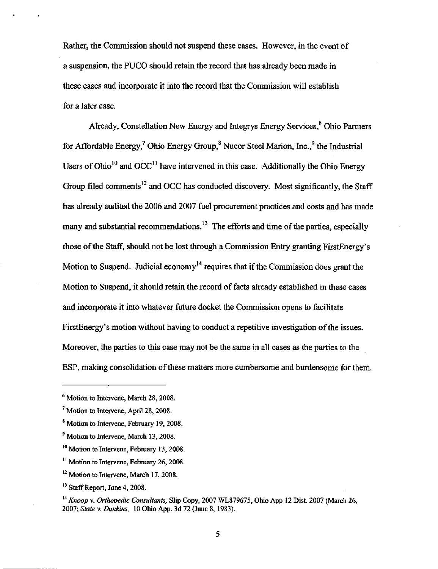Rather, the Commission should not suspend these cases. However, in the event of a suspension, the PUCO should retain the record that has already been made in these cases and incorporate it into the record that the Commission will establish for a later case.

Already, Constellation New Energy and Integrys Energy Services,^ Ohio Partners for Affordable Energy,<sup>7</sup> Ohio Energy Group, $^8$  Nucor Steel Marion, Inc., $^9$  the Industrial Users of Ohio<sup>10</sup> and OCC<sup>11</sup> have intervened in this case. Additionally the Ohio Energy Group filed comments<sup>12</sup> and OCC has conducted discovery. Most significantly, the Staff has already audited the 2006 and 2007 fuel procurement practices and costs and has made many and substantial recommendations.<sup>13</sup> The efforts and time of the parties, especially those of the Staff, should not be lost through a Commission Entry granting FirstEnergy's Motion to Suspend. Judicial economy<sup>14</sup> requires that if the Commission does grant the Motion to Suspend, it should retain the record of facts already established in these cases and incorporate it into whatever future docket the Commission opens to facilitate FirstEnergy's motion without having to conduct a repetitive investigation of the issues. Moreover, the parties to this case may not be the same in all cases as the parties to the ESP, making consolidation of these matters more cumbersome and burdensome for them.

5

<sup>&</sup>lt;sup>6</sup> Motion to Intervene, March 28, 2008.

<sup>&</sup>lt;sup>7</sup> Motion to Intervene, April 28, 2008.

<sup>\*</sup> Motion to Intervene, February 19, 2008.

<sup>&</sup>lt;sup>9</sup> Motion to Intervene, March 13, 2008.

<sup>&</sup>lt;sup>10</sup> Motion to Intervene, February 13, 2008.

<sup>&</sup>lt;sup>11</sup> Motion to Intervene, February 26, 2008.

<sup>&</sup>lt;sup>12</sup> Motion to Intervene, March 17, 2008.

 $^{13}$  Staff Report, June 4, 2008.

 $^{14}$  Knoop v. Orthopedic Consultants, Slip Copy, 2007 WL879675, Ohio App 12 Dist. 2007 (March 26, 2007; State v. Dunkins, 10 Ohio App. 3d 72 (June 8, 1983).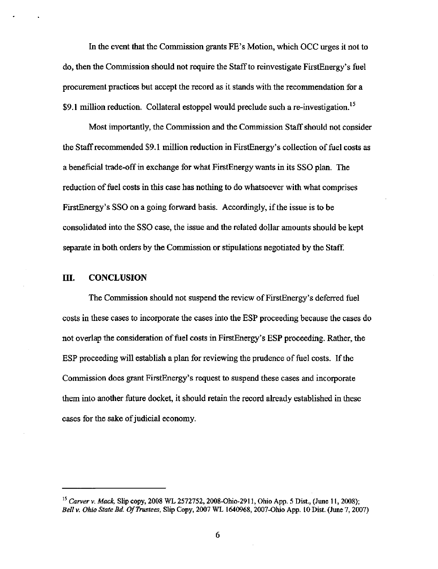In the event that the Commission grants FE's Motion, which OCC urges it not to do, then the Commission should not require the Staff to reinvestigate FirstEnergy's fuel procurement practices but accept the record as it stands with the recommendation for a \$9.1 million reduction. Collateral estoppel would preclude such a re-investigation.<sup>15</sup>

Most importantly, the Commission and the Commission Staff should not consider the Staff recommended \$9.1 miUion reduction in FirstEnergy's collection of fuel costs as a beneficial trade-off in exchange for what FirstEnergy wants in its SSO plan. The reduction of fuel costs in this case has nothing to do whatsoever with what comprises FirstEnergy's SSO on a going forward basis. Accordingly, if the issue is to be consolidated into the SSO case, the issue and the related dollar amounts should be kept separate in both orders by the Commission or stipulations negotiated by the Staff.

### III. CONCLUSION

The Commission should not suspend the review of FirstEnergy's deferred fuel costs in these cases to incorporate the cases into the ESP proceeding because the cases do not overlap the consideration of fuel costs in FirstEnergy's ESP proceeding. Rather, the ESP proceeding will establish a plan for reviewing the prudence of fuel costs. If the Commission does grant FirstEnergy's request to suspend these cases and incorporate them into another future docket, it should retain the record already established in these cases for the sake of judicial economy.

 $^{15}$  Carver v. Mack, Slip copy, 2008 WL 2572752, 2008-Ohio-2911, Ohio App. 5 Dist., (June 11, 2008); Bell V. Ohio State Bd. Of Trustees, Slip Copy, 2007 WL 1640968, 2007-Ohio App. 10 Dist. (June 7, 2007)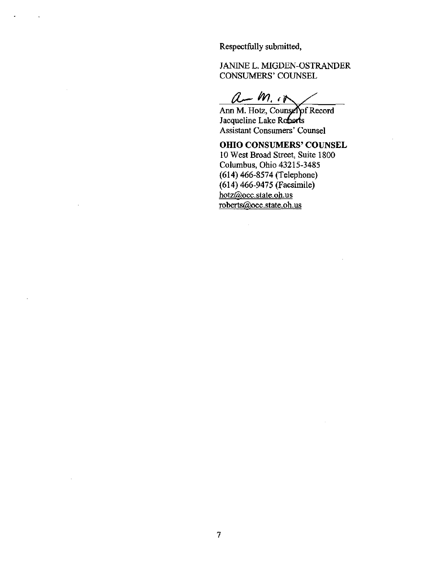Respectfully submitted,

JANINE L. MIGDEN-OSTRANDER CONSUMERS' COUNSEL

 $a - m \cdot n$ 

Ann M. Hotz, Counsel of Record Jacqueline Lake Roberts Assistant Consumers' Counsel

OHIO CONSUMERS' COUNSEL

10 West Broad Street, Suite 1800 Columbus, Ohio 43215-3485 (614) 466-8574 (Telephone) (614) 466-9475 (Facsimile) hotz(ajocc.state.oh.us roberts@occ.state.oh.us

 $\bar{a}$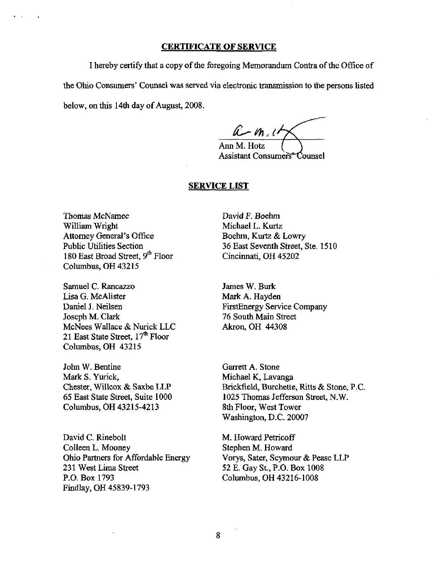#### CERTIFICATE OF SERVICE

I hereby certify that a copy of the foregoing Memorandum Contra of the Office of the Ohio Consumers' Counsel was served via electronic transmission to the persons listed below, on this 14th day of August, 2008.

 $a$  -  $m$ ,  $u$ Ann M. Hotz Assistant Consumers<sup>+</sup>Counsel

#### SERVICE LIST

Thomas McNamee William Wright Attorney General's Office Public Utilities Section 180 East Broad Street, 9<sup>th</sup> Floor Columbus, OH 43215

Samuel C. Rancazzo Lisa G. McAlister Daniel J. Neilsen Joseph M. Clark McNees Wallace & Nurick LLC 21 East State Street, 17<sup>th</sup> Floor Columbus, OH 43215

John W. Bentine Mark S. Yurick, Chester, Willcox & Saxbe LLP 65 East State Street. Suite 1000 Columbus, OH 43215-4213

David C. Rinebolt Colleen L. Mooney Ohio Partners for Affordable Energy 231 West Lima Street P.O. Box 1793 Findlay, OH 45839-1793

David F. Boehm Michael L. Kurtz Boehm, Kurtz & Lowry 36 East Seventh Street, Ste. 1510 Cincinnati, OH 45202

James W. Burk Mark A. Hayden FirstEnergy Service Company 76 South Main Street Akron, OH 44308

Garrett A. Stone Michael K, Lavanga Brickfield, Burchette, Ritts & Stone, P.C. 1025 Thomas Jefferson Street, N.W. 8th Floor, West Tower Washington, D.C. 20007

M. Howard Petricoff Stephen M. Howard Vorys, Sater, Seymour & Pease LLP 52 E. Gay St., P.O. Box 1008 Columbus, OH 43216-1008

8